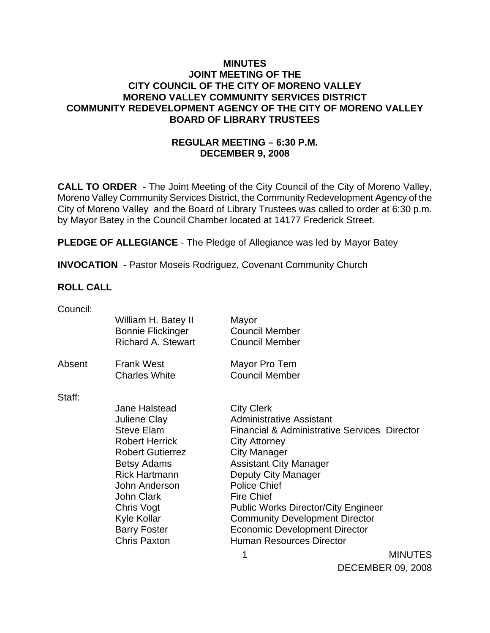### **MINUTES JOINT MEETING OF THE CITY COUNCIL OF THE CITY OF MORENO VALLEY MORENO VALLEY COMMUNITY SERVICES DISTRICT COMMUNITY REDEVELOPMENT AGENCY OF THE CITY OF MORENO VALLEY BOARD OF LIBRARY TRUSTEES**

## **REGULAR MEETING – 6:30 P.M. DECEMBER 9, 2008**

**CALL TO ORDER** - The Joint Meeting of the City Council of the City of Moreno Valley, Moreno Valley Community Services District, the Community Redevelopment Agency of the City of Moreno Valley and the Board of Library Trustees was called to order at 6:30 p.m. by Mayor Batey in the Council Chamber located at 14177 Frederick Street.

**PLEDGE OF ALLEGIANCE** - The Pledge of Allegiance was led by Mayor Batey

**INVOCATION** - Pastor Moseis Rodriguez, Covenant Community Church

### **ROLL CALL**

| Council: |                                                                                                                                                                                                                                                                              |                                                                                                                                                                                                                                                                                                                                                                                                                                      |                |
|----------|------------------------------------------------------------------------------------------------------------------------------------------------------------------------------------------------------------------------------------------------------------------------------|--------------------------------------------------------------------------------------------------------------------------------------------------------------------------------------------------------------------------------------------------------------------------------------------------------------------------------------------------------------------------------------------------------------------------------------|----------------|
|          | William H. Batey II<br><b>Bonnie Flickinger</b><br><b>Richard A. Stewart</b>                                                                                                                                                                                                 | Mayor<br><b>Council Member</b><br><b>Council Member</b>                                                                                                                                                                                                                                                                                                                                                                              |                |
| Absent   | <b>Frank West</b><br><b>Charles White</b>                                                                                                                                                                                                                                    | Mayor Pro Tem<br><b>Council Member</b>                                                                                                                                                                                                                                                                                                                                                                                               |                |
| Staff:   | Jane Halstead<br><b>Juliene Clay</b><br><b>Steve Elam</b><br><b>Robert Herrick</b><br><b>Robert Gutierrez</b><br><b>Betsy Adams</b><br><b>Rick Hartmann</b><br>John Anderson<br><b>John Clark</b><br>Chris Vogt<br>Kyle Kollar<br><b>Barry Foster</b><br><b>Chris Paxton</b> | <b>City Clerk</b><br><b>Administrative Assistant</b><br><b>Financial &amp; Administrative Services Director</b><br><b>City Attorney</b><br><b>City Manager</b><br><b>Assistant City Manager</b><br>Deputy City Manager<br><b>Police Chief</b><br><b>Fire Chief</b><br><b>Public Works Director/City Engineer</b><br><b>Community Development Director</b><br><b>Economic Development Director</b><br><b>Human Resources Director</b> |                |
|          |                                                                                                                                                                                                                                                                              | 1                                                                                                                                                                                                                                                                                                                                                                                                                                    | <b>MINUTES</b> |

MINUTES DECEMBER 09, 2008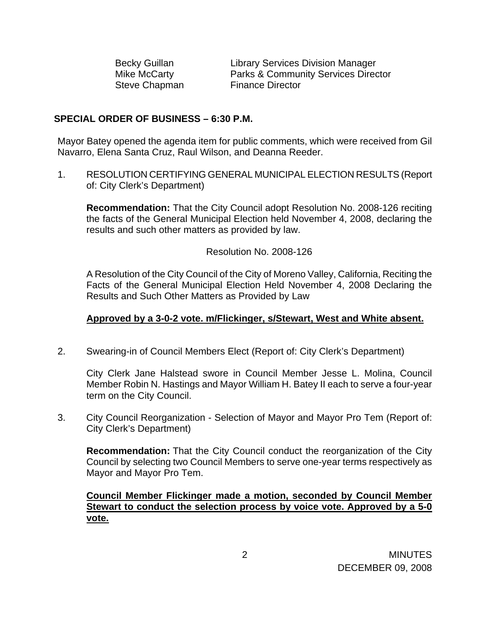Steve Chapman Finance Director

Becky Guillan Library Services Division Manager Mike McCarty Parks & Community Services Director

#### **SPECIAL ORDER OF BUSINESS – 6:30 P.M.**

Mayor Batey opened the agenda item for public comments, which were received from Gil Navarro, Elena Santa Cruz, Raul Wilson, and Deanna Reeder.

1. RESOLUTION CERTIFYING GENERAL MUNICIPAL ELECTION RESULTS (Report of: City Clerk's Department)

**Recommendation:** That the City Council adopt Resolution No. 2008-126 reciting the facts of the General Municipal Election held November 4, 2008, declaring the results and such other matters as provided by law.

#### Resolution No. 2008-126

A Resolution of the City Council of the City of Moreno Valley, California, Reciting the Facts of the General Municipal Election Held November 4, 2008 Declaring the Results and Such Other Matters as Provided by Law

#### **Approved by a 3-0-2 vote. m/Flickinger, s/Stewart, West and White absent.**

2. Swearing-in of Council Members Elect (Report of: City Clerk's Department)

City Clerk Jane Halstead swore in Council Member Jesse L. Molina, Council Member Robin N. Hastings and Mayor William H. Batey II each to serve a four-year term on the City Council.

3. City Council Reorganization - Selection of Mayor and Mayor Pro Tem (Report of: City Clerk's Department)

**Recommendation:** That the City Council conduct the reorganization of the City Council by selecting two Council Members to serve one-year terms respectively as Mayor and Mayor Pro Tem.

 **Council Member Flickinger made a motion, seconded by Council Member Stewart to conduct the selection process by voice vote. Approved by a 5-0 vote.**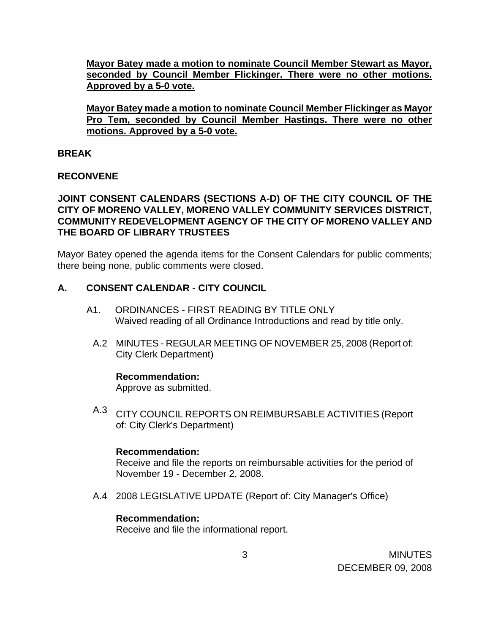**Mayor Batey made a motion to nominate Council Member Stewart as Mayor, seconded by Council Member Flickinger. There were no other motions. Approved by a 5-0 vote.**

**Mayor Batey made a motion to nominate Council Member Flickinger as Mayor Pro Tem, seconded by Council Member Hastings. There were no other motions. Approved by a 5-0 vote.**

### **BREAK**

### **RECONVENE**

### **JOINT CONSENT CALENDARS (SECTIONS A-D) OF THE CITY COUNCIL OF THE CITY OF MORENO VALLEY, MORENO VALLEY COMMUNITY SERVICES DISTRICT, COMMUNITY REDEVELOPMENT AGENCY OF THE CITY OF MORENO VALLEY AND THE BOARD OF LIBRARY TRUSTEES**

Mayor Batey opened the agenda items for the Consent Calendars for public comments; there being none, public comments were closed.

### **A. CONSENT CALENDAR** - **CITY COUNCIL**

- A1. ORDINANCES FIRST READING BY TITLE ONLY Waived reading of all Ordinance Introductions and read by title only.
	- A.2 MINUTES REGULAR MEETING OF NOVEMBER 25, 2008 (Report of: City Clerk Department)

### **Recommendation:**

Approve as submitted.

A.3 CITY COUNCIL REPORTS ON REIMBURSABLE ACTIVITIES (Report of: City Clerk's Department)

#### **Recommendation:**

Receive and file the reports on reimbursable activities for the period of November 19 - December 2, 2008.

A.4 2008 LEGISLATIVE UPDATE (Report of: City Manager's Office)

### **Recommendation:**

Receive and file the informational report.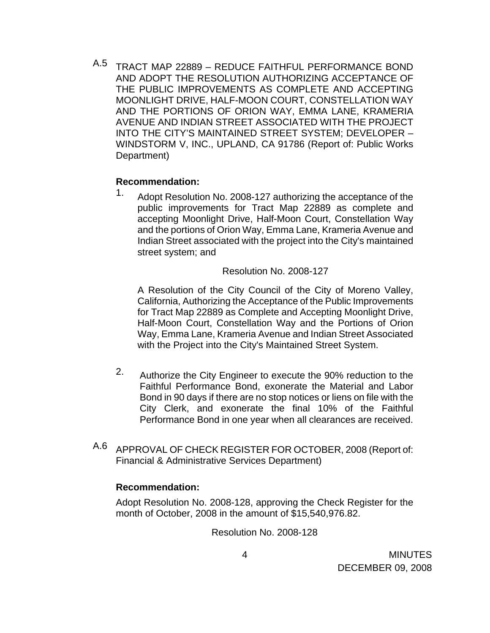A.5 TRACT MAP 22889 – REDUCE FAITHFUL PERFORMANCE BOND AND ADOPT THE RESOLUTION AUTHORIZING ACCEPTANCE OF THE PUBLIC IMPROVEMENTS AS COMPLETE AND ACCEPTING MOONLIGHT DRIVE, HALF-MOON COURT, CONSTELLATION WAY AND THE PORTIONS OF ORION WAY, EMMA LANE, KRAMERIA AVENUE AND INDIAN STREET ASSOCIATED WITH THE PROJECT INTO THE CITY'S MAINTAINED STREET SYSTEM; DEVELOPER – WINDSTORM V, INC., UPLAND, CA 91786 (Report of: Public Works Department)

#### **Recommendation:**

1. Adopt Resolution No. 2008-127 authorizing the acceptance of the public improvements for Tract Map 22889 as complete and accepting Moonlight Drive, Half-Moon Court, Constellation Way and the portions of Orion Way, Emma Lane, Krameria Avenue and Indian Street associated with the project into the City's maintained street system; and

Resolution No. 2008-127

A Resolution of the City Council of the City of Moreno Valley, California, Authorizing the Acceptance of the Public Improvements for Tract Map 22889 as Complete and Accepting Moonlight Drive, Half-Moon Court, Constellation Way and the Portions of Orion Way, Emma Lane, Krameria Avenue and Indian Street Associated with the Project into the City's Maintained Street System.

- 2. Authorize the City Engineer to execute the 90% reduction to the Faithful Performance Bond, exonerate the Material and Labor Bond in 90 days if there are no stop notices or liens on file with the City Clerk, and exonerate the final 10% of the Faithful Performance Bond in one year when all clearances are received.
- A.6 APPROVAL OF CHECK REGISTER FOR OCTOBER, 2008 (Report of: Financial & Administrative Services Department)

### **Recommendation:**

Adopt Resolution No. 2008-128, approving the Check Register for the month of October, 2008 in the amount of \$15,540,976.82.

Resolution No. 2008-128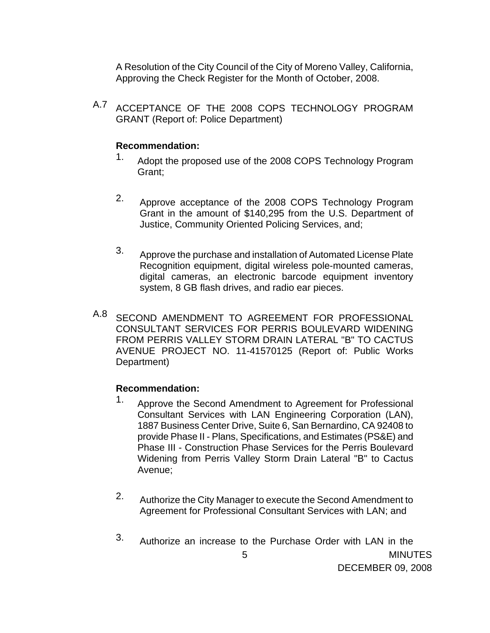A Resolution of the City Council of the City of Moreno Valley, California, Approving the Check Register for the Month of October, 2008.

A.7 ACCEPTANCE OF THE 2008 COPS TECHNOLOGY PROGRAM GRANT (Report of: Police Department)

### **Recommendation:**

- 1. Adopt the proposed use of the 2008 COPS Technology Program Grant;
- 2. Approve acceptance of the 2008 COPS Technology Program Grant in the amount of \$140,295 from the U.S. Department of Justice, Community Oriented Policing Services, and;
- 3. Approve the purchase and installation of Automated License Plate Recognition equipment, digital wireless pole-mounted cameras, digital cameras, an electronic barcode equipment inventory system, 8 GB flash drives, and radio ear pieces.
- A.8 SECOND AMENDMENT TO AGREEMENT FOR PROFESSIONAL CONSULTANT SERVICES FOR PERRIS BOULEVARD WIDENING FROM PERRIS VALLEY STORM DRAIN LATERAL "B" TO CACTUS AVENUE PROJECT NO. 11-41570125 (Report of: Public Works Department)

## **Recommendation:**

- 1. Approve the Second Amendment to Agreement for Professional Consultant Services with LAN Engineering Corporation (LAN), 1887 Business Center Drive, Suite 6, San Bernardino, CA 92408 to provide Phase II - Plans, Specifications, and Estimates (PS&E) and Phase III - Construction Phase Services for the Perris Boulevard Widening from Perris Valley Storm Drain Lateral "B" to Cactus Avenue;
- 2. Authorize the City Manager to execute the Second Amendment to Agreement for Professional Consultant Services with LAN; and
- **MINUTES** DECEMBER 09, 2008 5 3. Authorize an increase to the Purchase Order with LAN in the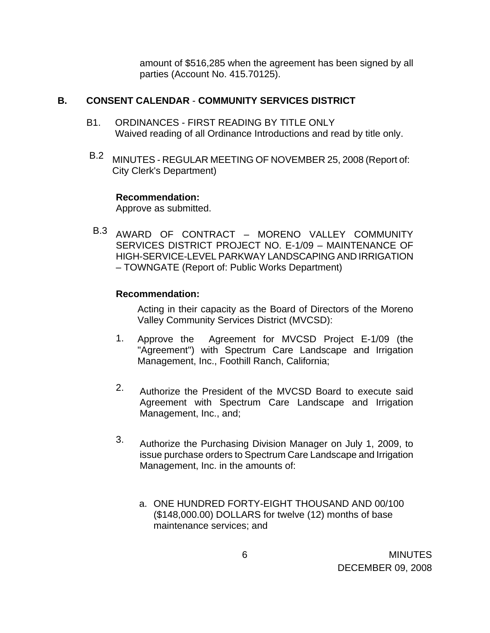amount of \$516,285 when the agreement has been signed by all parties (Account No. 415.70125).

### **B. CONSENT CALENDAR** - **COMMUNITY SERVICES DISTRICT**

- B1. ORDINANCES FIRST READING BY TITLE ONLY Waived reading of all Ordinance Introductions and read by title only.
- B.2 MINUTES REGULAR MEETING OF NOVEMBER 25, 2008 (Report of: City Clerk's Department)

#### **Recommendation:**

Approve as submitted.

B.3 AWARD OF CONTRACT – MORENO VALLEY COMMUNITY SERVICES DISTRICT PROJECT NO. E-1/09 – MAINTENANCE OF HIGH-SERVICE-LEVEL PARKWAY LANDSCAPING AND IRRIGATION – TOWNGATE (Report of: Public Works Department)

### **Recommendation:**

Acting in their capacity as the Board of Directors of the Moreno Valley Community Services District (MVCSD):

- 1. Approve the Agreement for MVCSD Project E-1/09 (the "Agreement") with Spectrum Care Landscape and Irrigation Management, Inc., Foothill Ranch, California;
- 2. Authorize the President of the MVCSD Board to execute said Agreement with Spectrum Care Landscape and Irrigation Management, Inc., and;
- 3. Authorize the Purchasing Division Manager on July 1, 2009, to issue purchase orders to Spectrum Care Landscape and Irrigation Management, Inc. in the amounts of:
	- a. ONE HUNDRED FORTY-EIGHT THOUSAND AND 00/100 (\$148,000.00) DOLLARS for twelve (12) months of base maintenance services; and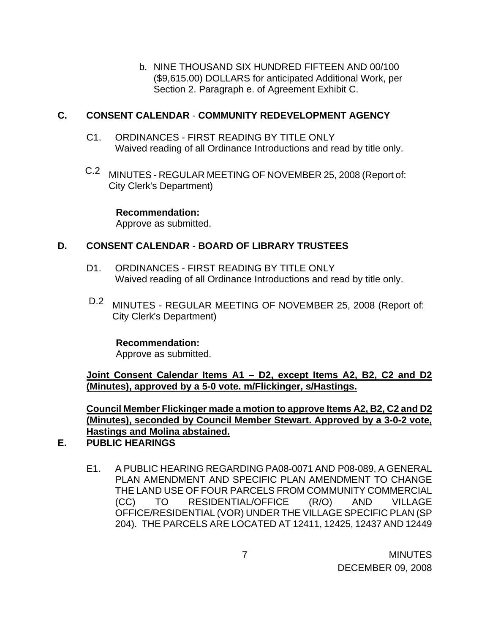b. NINE THOUSAND SIX HUNDRED FIFTEEN AND 00/100 (\$9,615.00) DOLLARS for anticipated Additional Work, per Section 2. Paragraph e. of Agreement Exhibit C.

### **C. CONSENT CALENDAR** - **COMMUNITY REDEVELOPMENT AGENCY**

- C1. ORDINANCES FIRST READING BY TITLE ONLY Waived reading of all Ordinance Introductions and read by title only.
- C.2 MINUTES REGULAR MEETING OF NOVEMBER 25, 2008 (Report of: City Clerk's Department)

**Recommendation:**  Approve as submitted.

# **D. CONSENT CALENDAR** - **BOARD OF LIBRARY TRUSTEES**

- D1. ORDINANCES FIRST READING BY TITLE ONLY Waived reading of all Ordinance Introductions and read by title only.
- D.2 MINUTES REGULAR MEETING OF NOVEMBER 25, 2008 (Report of: City Clerk's Department)

### **Recommendation:**

Approve as submitted.

**Joint Consent Calendar Items A1 – D2, except Items A2, B2, C2 and D2 (Minutes), approved by a 5-0 vote. m/Flickinger, s/Hastings.**

**Council Member Flickinger made a motion to approve Items A2, B2, C2 and D2 (Minutes), seconded by Council Member Stewart. Approved by a 3-0-2 vote, Hastings and Molina abstained.**

- **E. PUBLIC HEARINGS** 
	- E1. A PUBLIC HEARING REGARDING PA08-0071 AND P08-089, A GENERAL PLAN AMENDMENT AND SPECIFIC PLAN AMENDMENT TO CHANGE THE LAND USE OF FOUR PARCELS FROM COMMUNITY COMMERCIAL (CC) TO RESIDENTIAL/OFFICE (R/O) AND VILLAGE OFFICE/RESIDENTIAL (VOR) UNDER THE VILLAGE SPECIFIC PLAN (SP 204). THE PARCELS ARE LOCATED AT 12411, 12425, 12437 AND 12449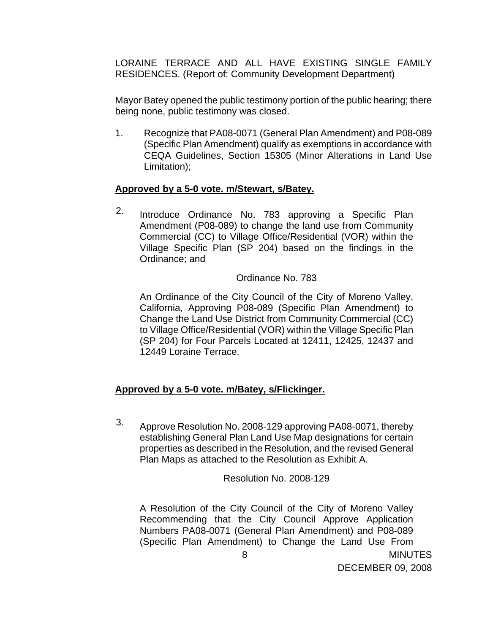LORAINE TERRACE AND ALL HAVE EXISTING SINGLE FAMILY RESIDENCES. (Report of: Community Development Department)

 Mayor Batey opened the public testimony portion of the public hearing; there being none, public testimony was closed.

 1. Recognize that PA08-0071 (General Plan Amendment) and P08-089 (Specific Plan Amendment) qualify as exemptions in accordance with CEQA Guidelines, Section 15305 (Minor Alterations in Land Use Limitation);

### **Approved by a 5-0 vote. m/Stewart, s/Batey.**

2. Introduce Ordinance No. 783 approving a Specific Plan Amendment (P08-089) to change the land use from Community Commercial (CC) to Village Office/Residential (VOR) within the Village Specific Plan (SP 204) based on the findings in the Ordinance; and

### Ordinance No. 783

An Ordinance of the City Council of the City of Moreno Valley, California, Approving P08-089 (Specific Plan Amendment) to Change the Land Use District from Community Commercial (CC) to Village Office/Residential (VOR) within the Village Specific Plan (SP 204) for Four Parcels Located at 12411, 12425, 12437 and 12449 Loraine Terrace.

## **Approved by a 5-0 vote. m/Batey, s/Flickinger.**

3. Approve Resolution No. 2008-129 approving PA08-0071, thereby establishing General Plan Land Use Map designations for certain properties as described in the Resolution, and the revised General Plan Maps as attached to the Resolution as Exhibit A.

Resolution No. 2008-129

A Resolution of the City Council of the City of Moreno Valley Recommending that the City Council Approve Application Numbers PA08-0071 (General Plan Amendment) and P08-089 (Specific Plan Amendment) to Change the Land Use From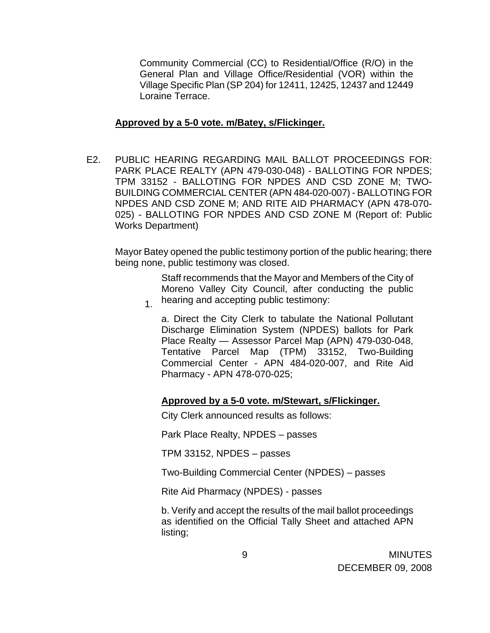Community Commercial (CC) to Residential/Office (R/O) in the General Plan and Village Office/Residential (VOR) within the Village Specific Plan (SP 204) for 12411, 12425, 12437 and 12449 Loraine Terrace.

#### **Approved by a 5-0 vote. m/Batey, s/Flickinger.**

E2. PUBLIC HEARING REGARDING MAIL BALLOT PROCEEDINGS FOR: PARK PLACE REALTY (APN 479-030-048) - BALLOTING FOR NPDES; TPM 33152 - BALLOTING FOR NPDES AND CSD ZONE M; TWO-BUILDING COMMERCIAL CENTER (APN 484-020-007) - BALLOTING FOR NPDES AND CSD ZONE M; AND RITE AID PHARMACY (APN 478-070- 025) - BALLOTING FOR NPDES AND CSD ZONE M (Report of: Public Works Department)

 Mayor Batey opened the public testimony portion of the public hearing; there being none, public testimony was closed.

1. Staff recommends that the Mayor and Members of the City of Moreno Valley City Council, after conducting the public hearing and accepting public testimony:

a. Direct the City Clerk to tabulate the National Pollutant Discharge Elimination System (NPDES) ballots for Park Place Realty — Assessor Parcel Map (APN) 479-030-048, Tentative Parcel Map (TPM) 33152, Two-Building Commercial Center - APN 484-020-007, and Rite Aid Pharmacy - APN 478-070-025;

### **Approved by a 5-0 vote. m/Stewart, s/Flickinger.**

City Clerk announced results as follows:

Park Place Realty, NPDES – passes

TPM 33152, NPDES – passes

Two-Building Commercial Center (NPDES) – passes

Rite Aid Pharmacy (NPDES) - passes

b. Verify and accept the results of the mail ballot proceedings as identified on the Official Tally Sheet and attached APN listing;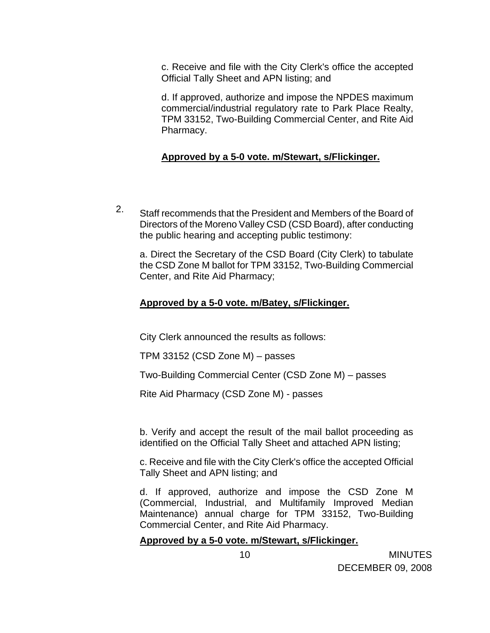c. Receive and file with the City Clerk's office the accepted Official Tally Sheet and APN listing; and

d. If approved, authorize and impose the NPDES maximum commercial/industrial regulatory rate to Park Place Realty, TPM 33152, Two-Building Commercial Center, and Rite Aid Pharmacy.

### **Approved by a 5-0 vote. m/Stewart, s/Flickinger.**

2. Staff recommends that the President and Members of the Board of Directors of the Moreno Valley CSD (CSD Board), after conducting the public hearing and accepting public testimony:

a. Direct the Secretary of the CSD Board (City Clerk) to tabulate the CSD Zone M ballot for TPM 33152, Two-Building Commercial Center, and Rite Aid Pharmacy;

### **Approved by a 5-0 vote. m/Batey, s/Flickinger.**

City Clerk announced the results as follows:

TPM 33152 (CSD Zone M) – passes

Two-Building Commercial Center (CSD Zone M) – passes

Rite Aid Pharmacy (CSD Zone M) - passes

b. Verify and accept the result of the mail ballot proceeding as identified on the Official Tally Sheet and attached APN listing;

c. Receive and file with the City Clerk's office the accepted Official Tally Sheet and APN listing; and

d. If approved, authorize and impose the CSD Zone M (Commercial, Industrial, and Multifamily Improved Median Maintenance) annual charge for TPM 33152, Two-Building Commercial Center, and Rite Aid Pharmacy.

### **Approved by a 5-0 vote. m/Stewart, s/Flickinger.**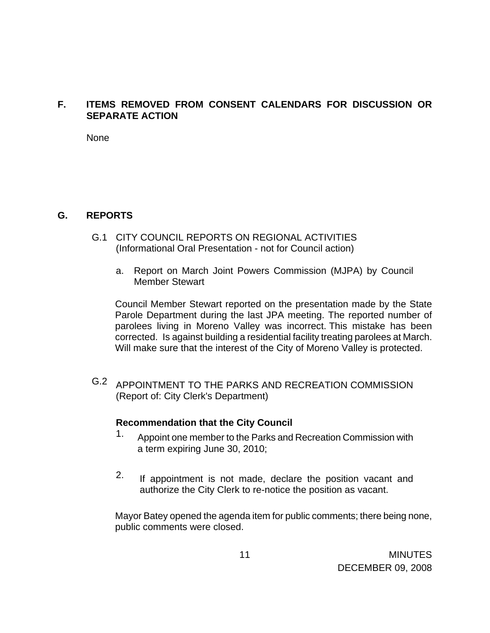# **F. ITEMS REMOVED FROM CONSENT CALENDARS FOR DISCUSSION OR SEPARATE ACTION**

None

## **G. REPORTS**

- G.1 CITY COUNCIL REPORTS ON REGIONAL ACTIVITIES (Informational Oral Presentation - not for Council action)
	- a. Report on March Joint Powers Commission (MJPA) by Council Member Stewart

 Council Member Stewart reported on the presentation made by the State Parole Department during the last JPA meeting. The reported number of parolees living in Moreno Valley was incorrect. This mistake has been corrected. Is against building a residential facility treating parolees at March. Will make sure that the interest of the City of Moreno Valley is protected.

G.2 APPOINTMENT TO THE PARKS AND RECREATION COMMISSION (Report of: City Clerk's Department)

### **Recommendation that the City Council**

- 1. Appoint one member to the Parks and Recreation Commission with a term expiring June 30, 2010;
- 2. If appointment is not made, declare the position vacant and authorize the City Clerk to re-notice the position as vacant.

Mayor Batey opened the agenda item for public comments; there being none, public comments were closed.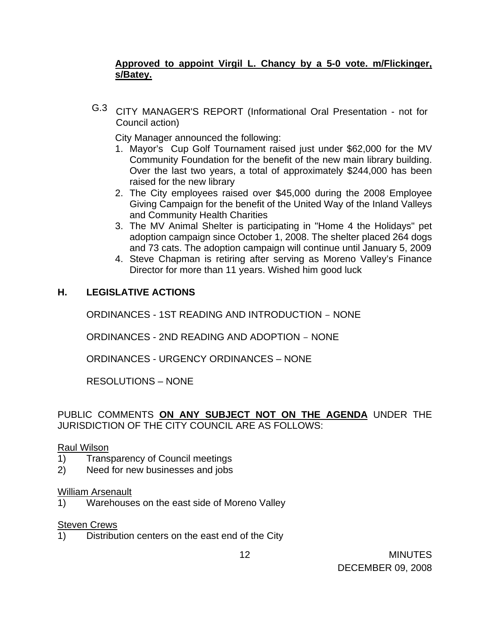# **Approved to appoint Virgil L. Chancy by a 5-0 vote. m/Flickinger, s/Batey.**

G.3 CITY MANAGER'S REPORT (Informational Oral Presentation - not for Council action)

City Manager announced the following:

- 1. Mayor's Cup Golf Tournament raised just under \$62,000 for the MV Community Foundation for the benefit of the new main library building. Over the last two years, a total of approximately \$244,000 has been raised for the new library
- 2. The City employees raised over \$45,000 during the 2008 Employee Giving Campaign for the benefit of the United Way of the Inland Valleys and Community Health Charities
- 3. The MV Animal Shelter is participating in "Home 4 the Holidays" pet adoption campaign since October 1, 2008. The shelter placed 264 dogs and 73 cats. The adoption campaign will continue until January 5, 2009
- 4. Steve Chapman is retiring after serving as Moreno Valley's Finance Director for more than 11 years. Wished him good luck

# **H. LEGISLATIVE ACTIONS**

ORDINANCES - 1ST READING AND INTRODUCTION – NONE

ORDINANCES - 2ND READING AND ADOPTION – NONE

ORDINANCES - URGENCY ORDINANCES – NONE

RESOLUTIONS – NONE

## PUBLIC COMMENTS **ON ANY SUBJECT NOT ON THE AGENDA** UNDER THE JURISDICTION OF THE CITY COUNCIL ARE AS FOLLOWS:

## Raul Wilson

- 1) Transparency of Council meetings
- 2) Need for new businesses and jobs

### William Arsenault

1) Warehouses on the east side of Moreno Valley

### **Steven Crews**

1) Distribution centers on the east end of the City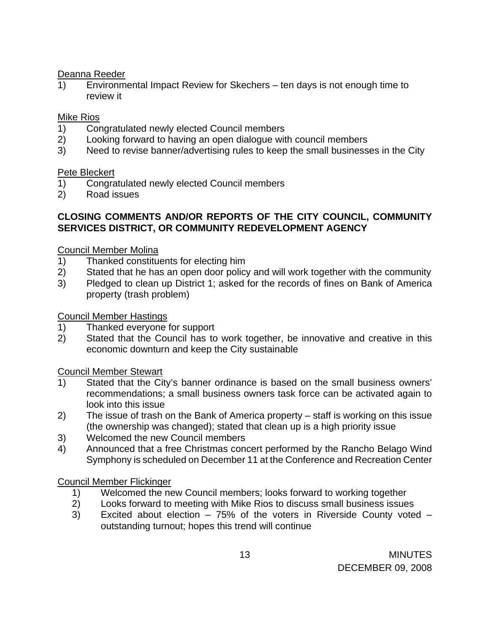### Deanna Reeder

1) Environmental Impact Review for Skechers – ten days is not enough time to review it

## Mike Rios

- 1) Congratulated newly elected Council members
- 2) Looking forward to having an open dialogue with council members
- 3) Need to revise banner/advertising rules to keep the small businesses in the City

### Pete Bleckert

- 1) Congratulated newly elected Council members
- 2) Road issues

## **CLOSING COMMENTS AND/OR REPORTS OF THE CITY COUNCIL, COMMUNITY SERVICES DISTRICT, OR COMMUNITY REDEVELOPMENT AGENCY**

## Council Member Molina

- 1) Thanked constituents for electing him
- 2) Stated that he has an open door policy and will work together with the community
- 3) Pledged to clean up District 1; asked for the records of fines on Bank of America property (trash problem)

## Council Member Hastings

- 1) Thanked everyone for support
- 2) Stated that the Council has to work together, be innovative and creative in this economic downturn and keep the City sustainable

## Council Member Stewart

- 1) Stated that the City's banner ordinance is based on the small business owners' recommendations; a small business owners task force can be activated again to look into this issue
- 2) The issue of trash on the Bank of America property staff is working on this issue (the ownership was changed); stated that clean up is a high priority issue
- 3) Welcomed the new Council members
- 4) Announced that a free Christmas concert performed by the Rancho Belago Wind Symphony is scheduled on December 11 at the Conference and Recreation Center

## Council Member Flickinger

- 1) Welcomed the new Council members; looks forward to working together
- 2) Looks forward to meeting with Mike Rios to discuss small business issues
- 3) Excited about election 75% of the voters in Riverside County voted outstanding turnout; hopes this trend will continue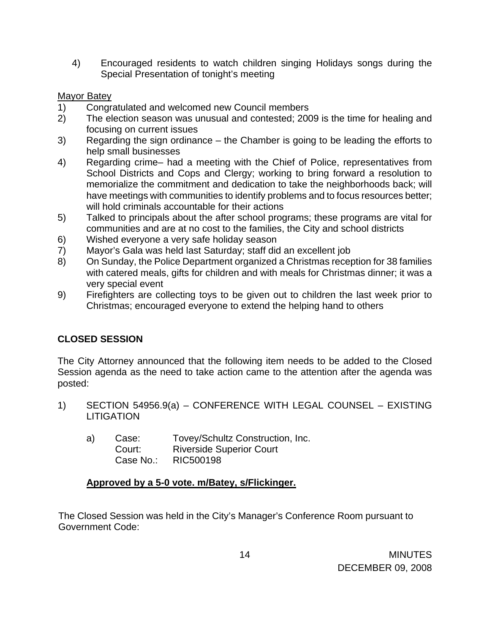4) Encouraged residents to watch children singing Holidays songs during the Special Presentation of tonight's meeting

## Mayor Batey

- 1) Congratulated and welcomed new Council members
- 2) The election season was unusual and contested; 2009 is the time for healing and focusing on current issues
- 3) Regarding the sign ordinance the Chamber is going to be leading the efforts to help small businesses
- 4) Regarding crime– had a meeting with the Chief of Police, representatives from School Districts and Cops and Clergy; working to bring forward a resolution to memorialize the commitment and dedication to take the neighborhoods back; will have meetings with communities to identify problems and to focus resources better; will hold criminals accountable for their actions
- 5) Talked to principals about the after school programs; these programs are vital for communities and are at no cost to the families, the City and school districts
- 6) Wished everyone a very safe holiday season
- 7) Mayor's Gala was held last Saturday; staff did an excellent job
- 8) On Sunday, the Police Department organized a Christmas reception for 38 families with catered meals, gifts for children and with meals for Christmas dinner; it was a very special event
- 9) Firefighters are collecting toys to be given out to children the last week prior to Christmas; encouraged everyone to extend the helping hand to others

# **CLOSED SESSION**

The City Attorney announced that the following item needs to be added to the Closed Session agenda as the need to take action came to the attention after the agenda was posted:

- 1) SECTION 54956.9(a) CONFERENCE WITH LEGAL COUNSEL EXISTING LITIGATION
	- a) Case: Tovey/Schultz Construction, Inc. Court: Riverside Superior Court Case No.: RIC500198

## **Approved by a 5-0 vote. m/Batey, s/Flickinger.**

The Closed Session was held in the City's Manager's Conference Room pursuant to Government Code: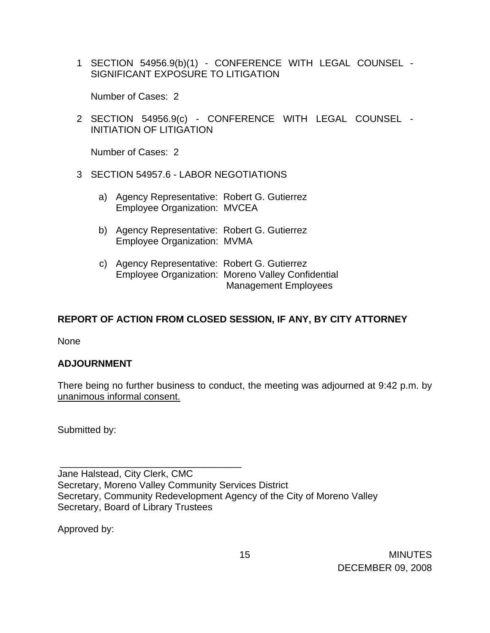1 SECTION 54956.9(b)(1) - CONFERENCE WITH LEGAL COUNSEL - SIGNIFICANT EXPOSURE TO LITIGATION

Number of Cases: 2

2 SECTION 54956.9(c) - CONFERENCE WITH LEGAL COUNSEL - INITIATION OF LITIGATION

Number of Cases: 2

- 3 SECTION 54957.6 LABOR NEGOTIATIONS
	- a) Agency Representative: Robert G. Gutierrez Employee Organization: MVCEA
	- b) Agency Representative: Robert G. Gutierrez Employee Organization: MVMA
	- c) Agency Representative: Robert G. Gutierrez Employee Organization: Moreno Valley Confidential Management Employees

# **REPORT OF ACTION FROM CLOSED SESSION, IF ANY, BY CITY ATTORNEY**

None

## **ADJOURNMENT**

There being no further business to conduct, the meeting was adjourned at 9:42 p.m. by unanimous informal consent.

Submitted by:

\_\_\_\_\_\_\_\_\_\_\_\_\_\_\_\_\_\_\_\_\_\_\_\_\_\_\_\_\_\_\_\_\_\_

Jane Halstead, City Clerk, CMC Secretary, Moreno Valley Community Services District Secretary, Community Redevelopment Agency of the City of Moreno Valley Secretary, Board of Library Trustees

Approved by: